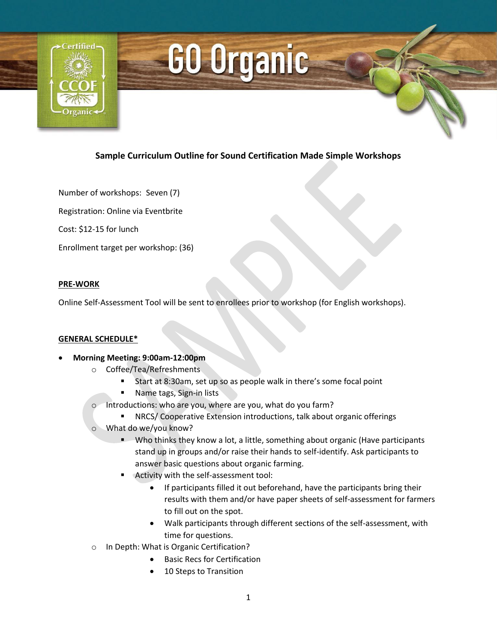

# GO Organic

## **Sample Curriculum Outline for Sound Certification Made Simple Workshops**

Number of workshops: Seven (7)

Registration: Online via Eventbrite

Cost: \$12-15 for lunch

Enrollment target per workshop: (36)

#### **PRE-WORK**

Online Self-Assessment Tool will be sent to enrollees prior to workshop (for English workshops).

#### **GENERAL SCHEDULE\***

- **Morning Meeting: 9:00am-12:00pm** 
	- o Coffee/Tea/Refreshments
		- Start at 8:30am, set up so as people walk in there's some focal point
		- **Name tags, Sign-in lists**
	- o Introductions: who are you, where are you, what do you farm?
		- NRCS/ Cooperative Extension introductions, talk about organic offerings
	- What do we/you know?
		- **Who thinks they know a lot, a little, something about organic (Have participants** stand up in groups and/or raise their hands to self-identify. Ask participants to answer basic questions about organic farming.
		- Activity with the self-assessment tool:
			- If participants filled it out beforehand, have the participants bring their results with them and/or have paper sheets of self-assessment for farmers to fill out on the spot.
			- Walk participants through different sections of the self-assessment, with time for questions.
	- o In Depth: What is Organic Certification?
		- Basic Recs for Certification
		- 10 Steps to Transition